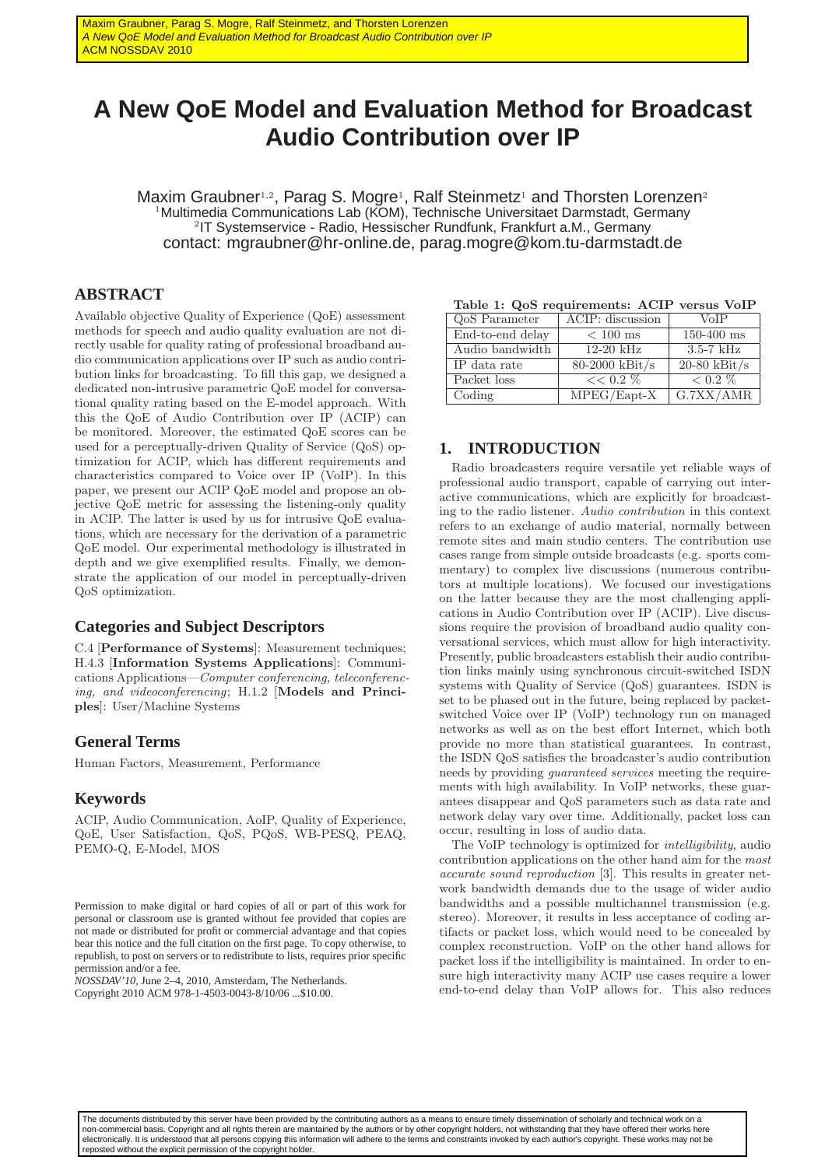# **A New QoE Model and Evaluation Method for Broadcast Audio Contribution over IP**

Maxim Graubner<sup>1,2</sup>, Parag S. Mogre<sup>1</sup>, Ralf Steinmetz<sup>1</sup> and Thorsten Lorenzen<sup>2</sup> <sup>1</sup>Multimedia Communications Lab (KOM), Technische Universitaet Darmstadt, Germany 2 IT Systemservice - Radio, Hessischer Rundfunk, Frankfurt a.M., Germany contact: mgraubner@hr-online.de, parag.mogre@kom.tu-darmstadt.de

# **ABSTRACT**

Available objective Quality of Experience (QoE) assessment methods for speech and audio quality evaluation are not directly usable for quality rating of professional broadband audio communication applications over IP such as audio contribution links for broadcasting. To fill this gap, we designed a dedicated non-intrusive parametric QoE model for conversational quality rating based on the E-model approach. With this the QoE of Audio Contribution over IP (ACIP) can be monitored. Moreover, the estimated QoE scores can be used for a perceptually-driven Quality of Service (QoS) optimization for ACIP, which has different requirements and characteristics compared to Voice over IP (VoIP). In this paper, we present our ACIP QoE model and propose an objective QoE metric for assessing the listening-only quality in ACIP. The latter is used by us for intrusive QoE evaluations, which are necessary for the derivation of a parametric QoE model. Our experimental methodology is illustrated in depth and we give exemplified results. Finally, we demonstrate the application of our model in perceptually-driven QoS optimization.

## **Categories and Subject Descriptors**

C.4 [Performance of Systems]: Measurement techniques; H.4.3 [Information Systems Applications]: Communications Applications—*Computer conferencing, teleconferencing, and videoconferencing*; H.1.2 [Models and Principles]: User/Machine Systems

## **General Terms**

Human Factors, Measurement, Performance

## **Keywords**

ACIP, Audio Communication, AoIP, Quality of Experience, QoE, User Satisfaction, QoS, PQoS, WB-PESQ, PEAQ, PEMO-Q, E-Model, MOS

*NOSSDAV'10,* June 2–4, 2010, Amsterdam, The Netherlands. Copyright 2010 ACM 978-1-4503-0043-8/10/06 ...\$10.00.

|  |  | Table 1: QoS requirements: ACIP versus VoIP |  |  |  |
|--|--|---------------------------------------------|--|--|--|
|--|--|---------------------------------------------|--|--|--|

| QoS Parameter    | ACIP: discussion                       | <b>VoIP</b>    |
|------------------|----------------------------------------|----------------|
| End-to-end delay | $< 100$ ms                             | $150 - 400$ ms |
| Audio bandwidth  | $12-20$ kHz                            | $3.5 - 7$ kHz  |
| IP data rate     | $80-2000$ kBit/s                       | $20-80$ kBit/s |
| Packet loss      | $<< 0.2 \%$                            | $< 0.2 \%$     |
| Coding           | $\overline{\text{MPEG}/\text{Eapt-X}}$ | G.7XX/AMR      |

## **1. INTRODUCTION**

Radio broadcasters require versatile yet reliable ways of professional audio transport, capable of carrying out interactive communications, which are explicitly for broadcasting to the radio listener. *Audio contribution* in this context refers to an exchange of audio material, normally between remote sites and main studio centers. The contribution use cases range from simple outside broadcasts (e.g. sports commentary) to complex live discussions (numerous contributors at multiple locations). We focused our investigations on the latter because they are the most challenging applications in Audio Contribution over IP (ACIP). Live discussions require the provision of broadband audio quality conversational services, which must allow for high interactivity. Presently, public broadcasters establish their audio contribution links mainly using synchronous circuit-switched ISDN systems with Quality of Service (QoS) guarantees. ISDN is set to be phased out in the future, being replaced by packetswitched Voice over IP (VoIP) technology run on managed networks as well as on the best effort Internet, which both provide no more than statistical guarantees. In contrast, the ISDN QoS satisfies the broadcaster's audio contribution needs by providing *guaranteed services* meeting the requirements with high availability. In VoIP networks, these guarantees disappear and QoS parameters such as data rate and network delay vary over time. Additionally, packet loss can occur, resulting in loss of audio data.

The VoIP technology is optimized for *intelligibility*, audio contribution applications on the other hand aim for the *most accurate sound reproduction* [3]. This results in greater network bandwidth demands due to the usage of wider audio bandwidths and a possible multichannel transmission (e.g. stereo). Moreover, it results in less acceptance of coding artifacts or packet loss, which would need to be concealed by complex reconstruction. VoIP on the other hand allows for packet loss if the intelligibility is maintained. In order to ensure high interactivity many ACIP use cases require a lower end-to-end delay than VoIP allows for. This also reduces

The documents distributed by this server have been provided by the contributing authors as a means to ensure timely dissemination of scholarly and technical work on a non-commercial basis. Copyright and all rights therein are maintained by the authors or by other copyright holders, not withstanding that they have offered their works here electronically. It is understood that all persons copying this information will adhere to the terms and constraints invoked by each author's copyright. These works may not be reposted without the explicit permission of the copyright holder.

Permission to make digital or hard copies of all or part of this work for personal or classroom use is granted without fee provided that copies are not made or distributed for profit or commercial advantage and that copies bear this notice and the full citation on the first page. To copy otherwise, to republish, to post on servers or to redistribute to lists, requires prior specific permission and/or a fee.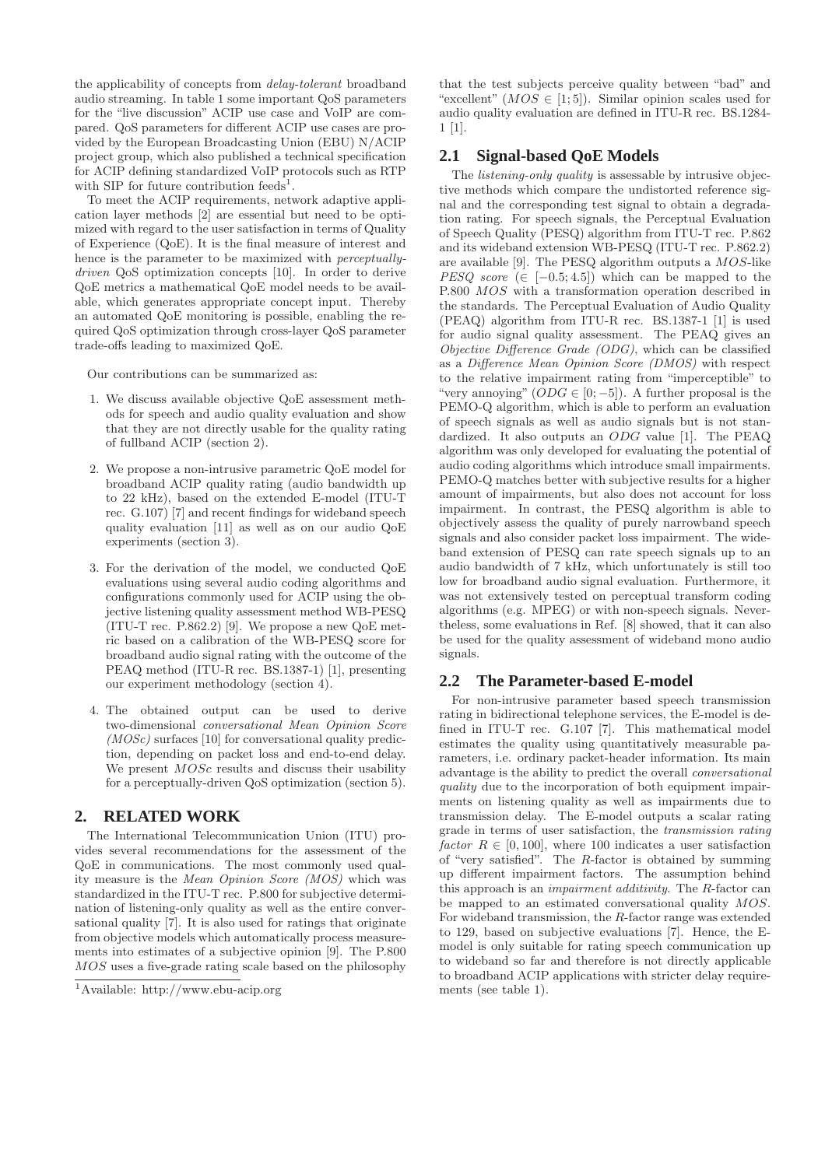the applicability of concepts from *delay-tolerant* broadband audio streaming. In table 1 some important QoS parameters for the "live discussion" ACIP use case and VoIP are compared. QoS parameters for different ACIP use cases are provided by the European Broadcasting Union (EBU) N/ACIP project group, which also published a technical specification for ACIP defining standardized VoIP protocols such as RTP with SIP for future contribution feeds<sup>1</sup>.

To meet the ACIP requirements, network adaptive application layer methods [2] are essential but need to be optimized with regard to the user satisfaction in terms of Quality of Experience (QoE). It is the final measure of interest and hence is the parameter to be maximized with *perceptuallydriven* QoS optimization concepts [10]. In order to derive QoE metrics a mathematical QoE model needs to be available, which generates appropriate concept input. Thereby an automated QoE monitoring is possible, enabling the required QoS optimization through cross-layer QoS parameter trade-offs leading to maximized QoE.

Our contributions can be summarized as:

- 1. We discuss available objective QoE assessment methods for speech and audio quality evaluation and show that they are not directly usable for the quality rating of fullband ACIP (section 2).
- 2. We propose a non-intrusive parametric QoE model for broadband ACIP quality rating (audio bandwidth up to 22 kHz), based on the extended E-model (ITU-T rec. G.107) [7] and recent findings for wideband speech quality evaluation [11] as well as on our audio QoE experiments (section 3).
- 3. For the derivation of the model, we conducted QoE evaluations using several audio coding algorithms and configurations commonly used for ACIP using the objective listening quality assessment method WB-PESQ (ITU-T rec. P.862.2) [9]. We propose a new QoE metric based on a calibration of the WB-PESQ score for broadband audio signal rating with the outcome of the PEAQ method (ITU-R rec. BS.1387-1) [1], presenting our experiment methodology (section 4).
- 4. The obtained output can be used to derive two-dimensional *conversational Mean Opinion Score (MOSc)* surfaces [10] for conversational quality prediction, depending on packet loss and end-to-end delay. We present  $MOSc$  results and discuss their usability for a perceptually-driven QoS optimization (section 5).

## **2. RELATED WORK**

The International Telecommunication Union (ITU) provides several recommendations for the assessment of the QoE in communications. The most commonly used quality measure is the *Mean Opinion Score (MOS)* which was standardized in the ITU-T rec. P.800 for subjective determination of listening-only quality as well as the entire conversational quality [7]. It is also used for ratings that originate from objective models which automatically process measurements into estimates of a subjective opinion [9]. The P.800 MOS uses a five-grade rating scale based on the philosophy

that the test subjects perceive quality between "bad" and "excellent"  $(MOS \in [1,5])$ . Similar opinion scales used for audio quality evaluation are defined in ITU-R rec. BS.1284- 1 [1].

# **2.1 Signal-based QoE Models**

The *listening-only quality* is assessable by intrusive objective methods which compare the undistorted reference signal and the corresponding test signal to obtain a degradation rating. For speech signals, the Perceptual Evaluation of Speech Quality (PESQ) algorithm from ITU-T rec. P.862 and its wideband extension WB-PESQ (ITU-T rec. P.862.2) are available [9]. The PESQ algorithm outputs a MOS-like *PESQ score* ( $\in$  [−0.5;4.5]) which can be mapped to the P.800 MOS with a transformation operation described in the standards. The Perceptual Evaluation of Audio Quality (PEAQ) algorithm from ITU-R rec. BS.1387-1 [1] is used for audio signal quality assessment. The PEAQ gives an *Objective Difference Grade (ODG)*, which can be classified as a *Difference Mean Opinion Score (DMOS)* with respect to the relative impairment rating from "imperceptible" to "very annoying"  $(ODG \in [0, -5])$ . A further proposal is the PEMO-Q algorithm, which is able to perform an evaluation of speech signals as well as audio signals but is not standardized. It also outputs an ODG value [1]. The PEAQ algorithm was only developed for evaluating the potential of audio coding algorithms which introduce small impairments. PEMO-Q matches better with subjective results for a higher amount of impairments, but also does not account for loss impairment. In contrast, the PESQ algorithm is able to objectively assess the quality of purely narrowband speech signals and also consider packet loss impairment. The wideband extension of PESQ can rate speech signals up to an audio bandwidth of 7 kHz, which unfortunately is still too low for broadband audio signal evaluation. Furthermore, it was not extensively tested on perceptual transform coding algorithms (e.g. MPEG) or with non-speech signals. Nevertheless, some evaluations in Ref. [8] showed, that it can also be used for the quality assessment of wideband mono audio signals.

# **2.2 The Parameter-based E-model**

For non-intrusive parameter based speech transmission rating in bidirectional telephone services, the E-model is defined in ITU-T rec. G.107 [7]. This mathematical model estimates the quality using quantitatively measurable parameters, i.e. ordinary packet-header information. Its main advantage is the ability to predict the overall *conversational quality* due to the incorporation of both equipment impairments on listening quality as well as impairments due to transmission delay. The E-model outputs a scalar rating grade in terms of user satisfaction, the *transmission rating factor*  $R \in [0, 100]$ , where 100 indicates a user satisfaction of "very satisfied". The R-factor is obtained by summing up different impairment factors. The assumption behind this approach is an *impairment additivity*. The R-factor can be mapped to an estimated conversational quality MOS. For wideband transmission, the R-factor range was extended to 129, based on subjective evaluations [7]. Hence, the Emodel is only suitable for rating speech communication up to wideband so far and therefore is not directly applicable to broadband ACIP applications with stricter delay requirements (see table 1).

<sup>1</sup>Available: http://www.ebu-acip.org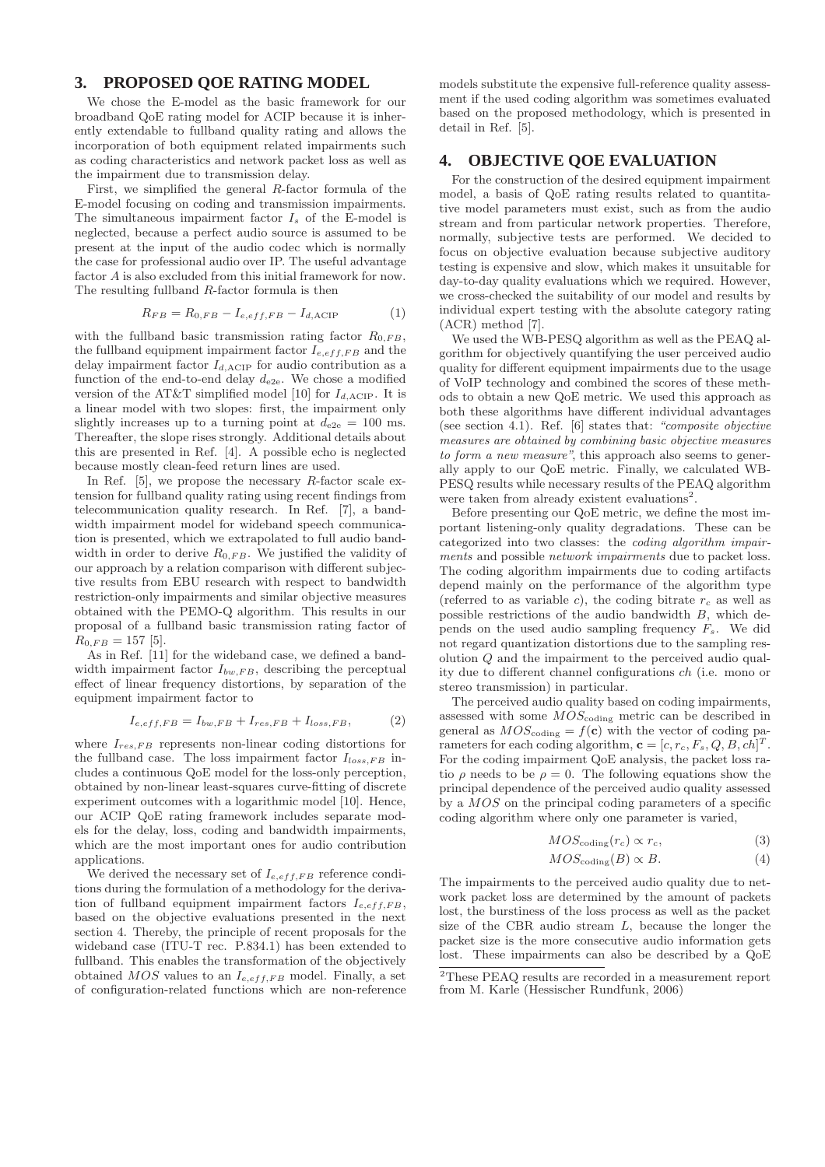## **3. PROPOSED QOE RATING MODEL**

We chose the E-model as the basic framework for our broadband QoE rating model for ACIP because it is inherently extendable to fullband quality rating and allows the incorporation of both equipment related impairments such as coding characteristics and network packet loss as well as the impairment due to transmission delay.

First, we simplified the general R-factor formula of the E-model focusing on coding and transmission impairments. The simultaneous impairment factor  $I_s$  of the E-model is neglected, because a perfect audio source is assumed to be present at the input of the audio codec which is normally the case for professional audio over IP. The useful advantage factor A is also excluded from this initial framework for now. The resulting fullband R-factor formula is then

$$
R_{FB} = R_{0,FB} - I_{e,eff,FB} - I_{d,\text{ACIP}} \tag{1}
$$

with the fullband basic transmission rating factor  $R_{0,FB}$ , the fullband equipment impairment factor  $I_{e,eff,FB}$  and the delay impairment factor  $I_{d,ACIP}$  for audio contribution as a function of the end-to-end delay  $d_{e2e}$ . We chose a modified version of the AT&T simplified model [10] for  $I_{d,\mathrm{ACIP}}.$  It is a linear model with two slopes: first, the impairment only slightly increases up to a turning point at  $d_{e2e} = 100$  ms. Thereafter, the slope rises strongly. Additional details about this are presented in Ref. [4]. A possible echo is neglected because mostly clean-feed return lines are used.

In Ref.  $[5]$ , we propose the necessary R-factor scale extension for fullband quality rating using recent findings from telecommunication quality research. In Ref. [7], a bandwidth impairment model for wideband speech communication is presented, which we extrapolated to full audio bandwidth in order to derive  $R_{0,FB}$ . We justified the validity of our approach by a relation comparison with different subjective results from EBU research with respect to bandwidth restriction-only impairments and similar objective measures obtained with the PEMO-Q algorithm. This results in our proposal of a fullband basic transmission rating factor of  $R_{0,FB} = 157$  [5].

As in Ref. [11] for the wideband case, we defined a bandwidth impairment factor  $I_{bw,FB}$ , describing the perceptual effect of linear frequency distortions, by separation of the equipment impairment factor to

$$
I_{e,eff,FB} = I_{bw,FB} + I_{res,FB} + I_{loss,FB}, \tag{2}
$$

where  $I_{res,FB}$  represents non-linear coding distortions for the fullband case. The loss impairment factor  $I_{loss,FB}$  includes a continuous QoE model for the loss-only perception, obtained by non-linear least-squares curve-fitting of discrete experiment outcomes with a logarithmic model [10]. Hence, our ACIP QoE rating framework includes separate models for the delay, loss, coding and bandwidth impairments, which are the most important ones for audio contribution applications.

We derived the necessary set of  $I_{e,eff,FB}$  reference conditions during the formulation of a methodology for the derivation of fullband equipment impairment factors  $I_{e,eff,FB}$ , based on the objective evaluations presented in the next section 4. Thereby, the principle of recent proposals for the wideband case (ITU-T rec. P.834.1) has been extended to fullband. This enables the transformation of the objectively obtained  $MOS$  values to an  $I_{e,eff,FB}$  model. Finally, a set of configuration-related functions which are non-reference

models substitute the expensive full-reference quality assessment if the used coding algorithm was sometimes evaluated based on the proposed methodology, which is presented in detail in Ref. [5].

## **4. OBJECTIVE QOE EVALUATION**

For the construction of the desired equipment impairment model, a basis of QoE rating results related to quantitative model parameters must exist, such as from the audio stream and from particular network properties. Therefore, normally, subjective tests are performed. We decided to focus on objective evaluation because subjective auditory testing is expensive and slow, which makes it unsuitable for day-to-day quality evaluations which we required. However, we cross-checked the suitability of our model and results by individual expert testing with the absolute category rating (ACR) method [7].

We used the WB-PESQ algorithm as well as the PEAQ algorithm for objectively quantifying the user perceived audio quality for different equipment impairments due to the usage of VoIP technology and combined the scores of these methods to obtain a new QoE metric. We used this approach as both these algorithms have different individual advantages (see section 4.1). Ref. [6] states that: *"composite objective measures are obtained by combining basic objective measures to form a new measure"*, this approach also seems to generally apply to our QoE metric. Finally, we calculated WB-PESQ results while necessary results of the PEAQ algorithm were taken from already existent evaluations<sup>2</sup>.

Before presenting our QoE metric, we define the most important listening-only quality degradations. These can be categorized into two classes: the *coding algorithm impairments* and possible *network impairments* due to packet loss. The coding algorithm impairments due to coding artifacts depend mainly on the performance of the algorithm type (referred to as variable c), the coding bitrate  $r_c$  as well as possible restrictions of the audio bandwidth B, which depends on the used audio sampling frequency  $F_s$ . We did not regard quantization distortions due to the sampling resolution Q and the impairment to the perceived audio quality due to different channel configurations ch (i.e. mono or stereo transmission) in particular.

The perceived audio quality based on coding impairments, assessed with some  $MOS_{\text{coding}}$  metric can be described in general as  $MOS_{\text{coding}} = f(c)$  with the vector of coding parameters for each coding algorithm,  $\mathbf{c} = [c, r_c, F_s, Q, B, ch]^T$ . For the coding impairment QoE analysis, the packet loss ratio  $\rho$  needs to be  $\rho = 0$ . The following equations show the principal dependence of the perceived audio quality assessed by a MOS on the principal coding parameters of a specific coding algorithm where only one parameter is varied,

$$
MOS_{\text{coding}}(r_c) \propto r_c,\tag{3}
$$

$$
MOS_{\text{coding}}(B) \propto B. \tag{4}
$$

The impairments to the perceived audio quality due to network packet loss are determined by the amount of packets lost, the burstiness of the loss process as well as the packet size of the CBR audio stream L, because the longer the packet size is the more consecutive audio information gets lost. These impairments can also be described by a QoE

<sup>2</sup>These PEAQ results are recorded in a measurement report from M. Karle (Hessischer Rundfunk, 2006)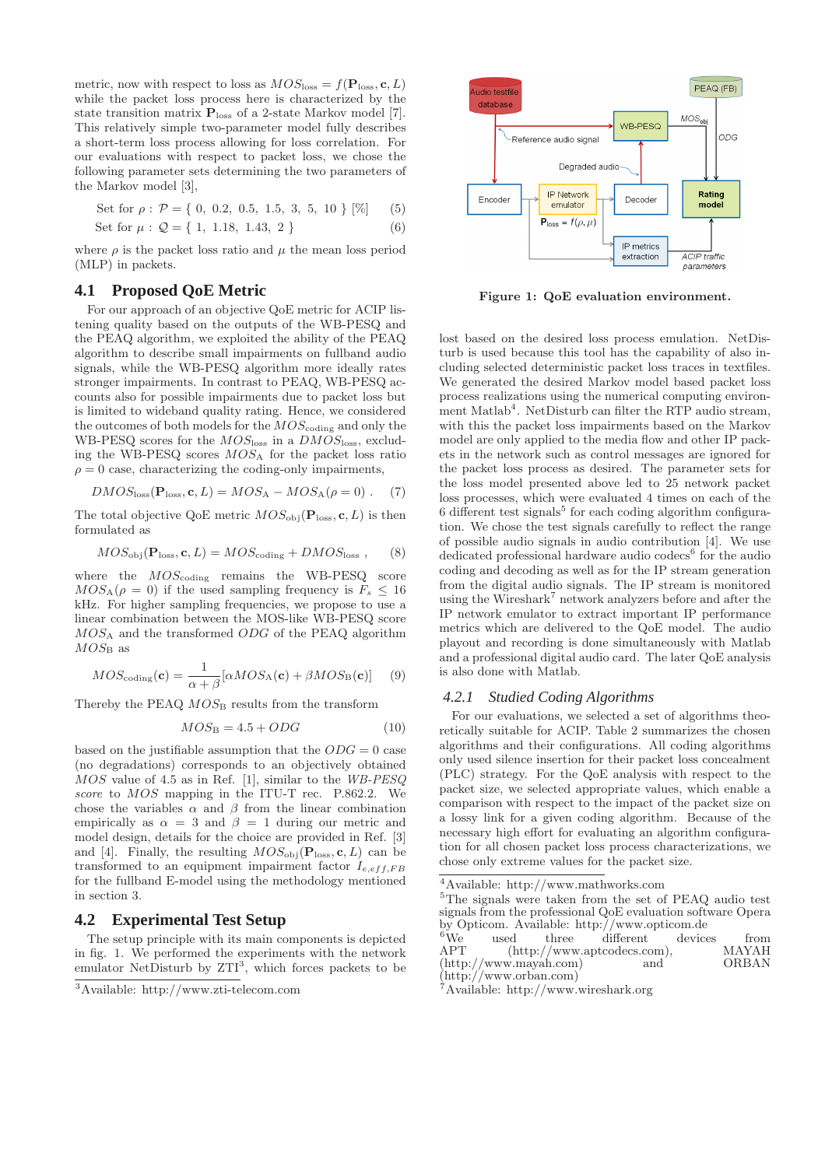metric, now with respect to loss as  $MOS_{\text{loss}} = f(\mathbf{P}_{\text{loss}}, \mathbf{c}, L)$ while the packet loss process here is characterized by the state transition matrix  $P_{loss}$  of a 2-state Markov model [7]. This relatively simple two-parameter model fully describes a short-term loss process allowing for loss correlation. For our evaluations with respect to packet loss, we chose the following parameter sets determining the two parameters of the Markov model [3],

Set for 
$$
\rho
$$
:  $\mathcal{P} = \{ 0, 0.2, 0.5, 1.5, 3, 5, 10 \} [\%]$  (5)

Set for 
$$
\mu
$$
:  $Q = \{1, 1.18, 1.43, 2\}$  (6)

where  $\rho$  is the packet loss ratio and  $\mu$  the mean loss period (MLP) in packets.

## **4.1 Proposed QoE Metric**

For our approach of an objective QoE metric for ACIP listening quality based on the outputs of the WB-PESQ and the PEAQ algorithm, we exploited the ability of the PEAQ algorithm to describe small impairments on fullband audio signals, while the WB-PESQ algorithm more ideally rates stronger impairments. In contrast to PEAQ, WB-PESQ accounts also for possible impairments due to packet loss but is limited to wideband quality rating. Hence, we considered the outcomes of both models for the  $MOS_{\text{coding}}$  and only the WB-PESQ scores for the  $MOS<sub>loss</sub>$  in a  $DMOS<sub>loss</sub>$ , excluding the WB-PESQ scores  $MOS_A$  for the packet loss ratio  $\rho = 0$  case, characterizing the coding-only impairments,

$$
DMOSloss(Ploss, c, L) = MOSA - MOSA(\rho = 0) . (7)
$$

The total objective QoE metric  $MOS<sub>obj</sub>(**P**<sub>loss</sub>, **c**, L)$  is then formulated as

$$
MOS_{\text{obj}}(\mathbf{P}_{\text{loss}}, \mathbf{c}, L) = MOS_{\text{coding}} + DMOS_{\text{loss}} ,\qquad(8)
$$

where the  $MOS_{\text{coding}}$  remains the WB-PESQ score  $MOS_A(\rho = 0)$  if the used sampling frequency is  $F_s \leq 16$ kHz. For higher sampling frequencies, we propose to use a linear combination between the MOS-like WB-PESQ score  $MOS_A$  and the transformed  $ODG$  of the PEAQ algorithm  $MOS_{\rm B}$  as

$$
MOS_{\text{coding}}(\mathbf{c}) = \frac{1}{\alpha + \beta} [\alpha MOS_{\text{A}}(\mathbf{c}) + \beta MOS_{\text{B}}(\mathbf{c})] \quad (9)
$$

Thereby the PEAQ  $MOS_B$  results from the transform

$$
MOS_{\rm B} = 4.5 + ODG \tag{10}
$$

based on the justifiable assumption that the  $ODG = 0$  case (no degradations) corresponds to an objectively obtained MOS value of 4.5 as in Ref. [1], similar to the *WB-PESQ score* to MOS mapping in the ITU-T rec. P.862.2. We chose the variables  $\alpha$  and  $\beta$  from the linear combination empirically as  $\alpha = 3$  and  $\beta = 1$  during our metric and model design, details for the choice are provided in Ref. [3] and [4]. Finally, the resulting  $MOS<sub>obj</sub>(**P**<sub>loss</sub>, **c**, L)$  can be transformed to an equipment impairment factor  $I_{e,eff,FB}$ for the fullband E-model using the methodology mentioned in section 3.

## **4.2 Experimental Test Setup**

The setup principle with its main components is depicted in fig. 1. We performed the experiments with the network emulator NetDisturb by  $ZTI^3$ , which forces packets to be



Figure 1: QoE evaluation environment.

lost based on the desired loss process emulation. NetDisturb is used because this tool has the capability of also including selected deterministic packet loss traces in textfiles. We generated the desired Markov model based packet loss process realizations using the numerical computing environment Matlab<sup>4</sup>. NetDisturb can filter the RTP audio stream, with this the packet loss impairments based on the Markov model are only applied to the media flow and other IP packets in the network such as control messages are ignored for the packet loss process as desired. The parameter sets for the loss model presented above led to 25 network packet loss processes, which were evaluated 4 times on each of the  $6$  different test signals<sup>5</sup> for each coding algorithm configuration. We chose the test signals carefully to reflect the range of possible audio signals in audio contribution [4]. We use dedicated professional hardware audio codecs<sup>6</sup> for the audio coding and decoding as well as for the IP stream generation from the digital audio signals. The IP stream is monitored using the Wireshark<sup>7</sup> network analyzers before and after the IP network emulator to extract important IP performance metrics which are delivered to the QoE model. The audio playout and recording is done simultaneously with Matlab and a professional digital audio card. The later QoE analysis is also done with Matlab.

#### *4.2.1 Studied Coding Algorithms*

For our evaluations, we selected a set of algorithms theoretically suitable for ACIP. Table 2 summarizes the chosen algorithms and their configurations. All coding algorithms only used silence insertion for their packet loss concealment (PLC) strategy. For the QoE analysis with respect to the packet size, we selected appropriate values, which enable a comparison with respect to the impact of the packet size on a lossy link for a given coding algorithm. Because of the necessary high effort for evaluating an algorithm configuration for all chosen packet loss process characterizations, we chose only extreme values for the packet size.

<sup>5</sup>The signals were taken from the set of PEAQ audio test signals from the professional QoE evaluation software Opera by Opticom. Available: http://www.opticom.de

| ${}^{6}$ We | used |                                 | three different devices             | from         |
|-------------|------|---------------------------------|-------------------------------------|--------------|
| APT         |      |                                 | $(\text{http://www.aptcodes.com}),$ | <b>MAYAH</b> |
|             |      | $(\text{http://www.mayah.com})$ | and                                 | <b>ORBAN</b> |
|             |      | $(\text{http://www.orban.com})$ |                                     |              |

<sup>7</sup>Available: http://www.wireshark.org

<sup>3</sup>Available: http://www.zti-telecom.com

 $^4\mathit{Available:~http://www.mathworks.com}$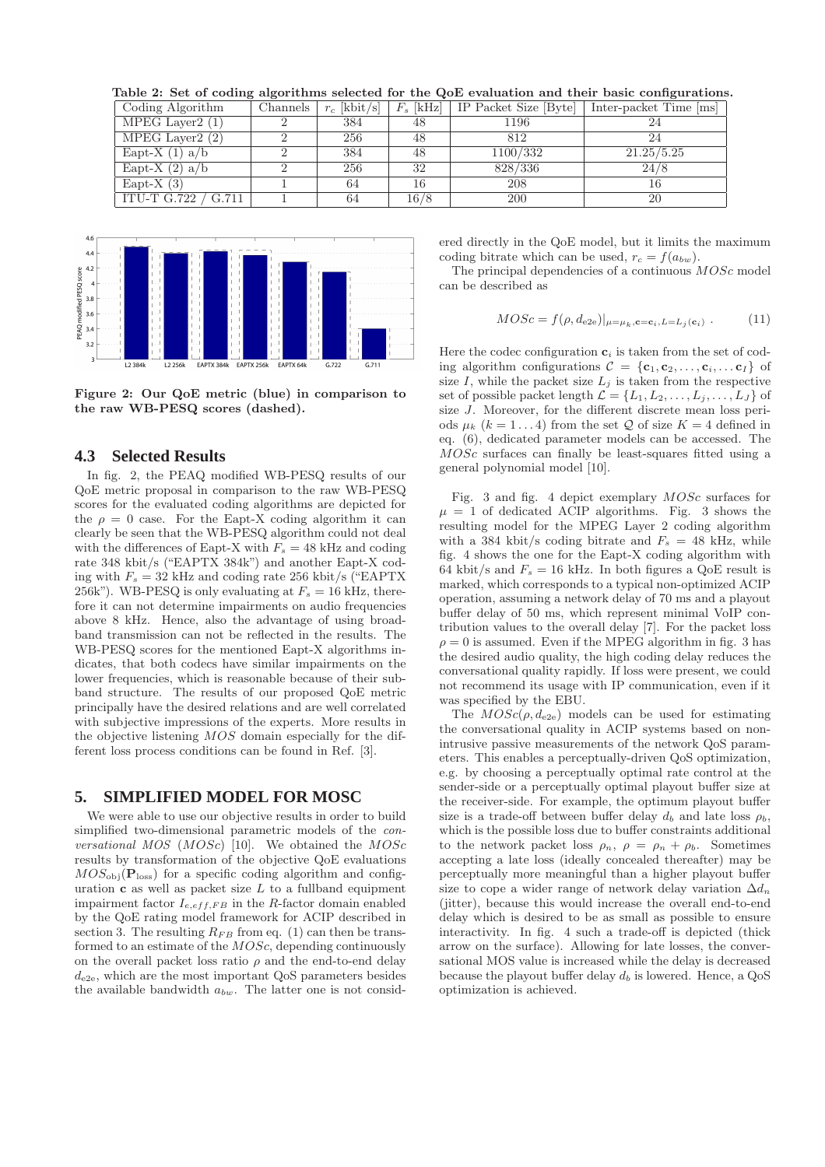Table 2: Set of coding algorithms selected for the QoE evaluation and their basic configurations.  $\frac{1}{2}$  Connels  $\left\lfloor n \right\rfloor$   $\left\lfloor k \right\rfloor$   $\left\lfloor k \right\rfloor$   $\left\lfloor k \right\rfloor$   $\left\lfloor k \right\rfloor$   $\left\lfloor n \right\rfloor$   $\left\lfloor n \right\rfloor$   $\left\lfloor n \right\rfloor$   $\left\lfloor n \right\rfloor$   $\left\lfloor k \right\rfloor$   $\left\lfloor n \right\rfloor$   $\left\lfloor n \right\rfloor$   $\left\lfloor n \right\rfloor$   $\left\lfloor n \right\rfloor$   $\left\lfloor n$ 

| Country Argorianing | Спаннев | $\ell$   $\Delta$ DIU $\ell$ SI | $T_s$   All $Z$ | II I ACREL DIZE IDVLEI | THE PACKEL THIS THIS |
|---------------------|---------|---------------------------------|-----------------|------------------------|----------------------|
| MPEG Layer2 $(1)$   |         | 384                             | 48              | 1196                   |                      |
| MPEG Layer2 $(2)$   |         | 256                             | 48              | 812                    |                      |
| Eapt-X $(1)$ a/b    |         | 384                             | 48              | 1100/332               | 21.25/5.25           |
| Eapt-X $(2)$ a/b    |         | 256                             | 32              | 828/336                | 24/8                 |
| Eapt-X $(3)$        |         | 64                              | 16              | 208                    |                      |
| ITU-T G.722 / G.711 |         | 64                              | 16/8            | <b>200</b>             | 20                   |



Figure 2: Our QoE metric (blue) in comparison to the raw WB-PESQ scores (dashed).

## **4.3 Selected Results**

In fig. 2, the PEAQ modified WB-PESQ results of our QoE metric proposal in comparison to the raw WB-PESQ scores for the evaluated coding algorithms are depicted for the  $\rho = 0$  case. For the Eapt-X coding algorithm it can clearly be seen that the WB-PESQ algorithm could not deal with the differences of Eapt-X with  $F_s = 48$  kHz and coding rate 348 kbit/s ("EAPTX 384k") and another Eapt-X coding with  $F_s = 32$  kHz and coding rate 256 kbit/s ("EAPTX 256k"). WB-PESQ is only evaluating at  $F_s = 16$  kHz, therefore it can not determine impairments on audio frequencies above 8 kHz. Hence, also the advantage of using broadband transmission can not be reflected in the results. The WB-PESQ scores for the mentioned Eapt-X algorithms indicates, that both codecs have similar impairments on the lower frequencies, which is reasonable because of their subband structure. The results of our proposed QoE metric principally have the desired relations and are well correlated with subjective impressions of the experts. More results in the objective listening MOS domain especially for the different loss process conditions can be found in Ref. [3].

#### **5. SIMPLIFIED MODEL FOR MOSC**

We were able to use our objective results in order to build simplified two-dimensional parametric models of the *conversational MOS* (MOSc) [10]. We obtained the MOSc results by transformation of the objective QoE evaluations  $MOS<sub>obj</sub>(**P**<sub>loss</sub>)$  for a specific coding algorithm and configuration  $\bf{c}$  as well as packet size  $L$  to a fullband equipment impairment factor  $I_{e,eff,FB}$  in the R-factor domain enabled by the QoE rating model framework for ACIP described in section 3. The resulting  $R_{FB}$  from eq. (1) can then be transformed to an estimate of the MOSc, depending continuously on the overall packet loss ratio  $\rho$  and the end-to-end delay  $d_{e2e}$ , which are the most important QoS parameters besides the available bandwidth  $a_{bw}$ . The latter one is not considered directly in the QoE model, but it limits the maximum coding bitrate which can be used,  $r_c = f(a_{bw})$ .

The principal dependencies of a continuous  $MOSc$  model can be described as

$$
MOSc = f(\rho, d_{e2e})|_{\mu = \mu_k, \mathbf{c} = \mathbf{c}_i, L = L_j(\mathbf{c}_i)}.
$$
 (11)

Here the codec configuration  $c_i$  is taken from the set of coding algorithm configurations  $\mathcal{C} = \{c_1, c_2, \ldots, c_i, \ldots c_I\}$  of size  $I$ , while the packet size  $L_j$  is taken from the respective set of possible packet length  $\mathcal{L} = \{L_1, L_2, \ldots, L_j, \ldots, L_J\}$  of size J. Moreover, for the different discrete mean loss periods  $\mu_k$  ( $k = 1...4$ ) from the set Q of size  $K = 4$  defined in eq. (6), dedicated parameter models can be accessed. The MOSc surfaces can finally be least-squares fitted using a general polynomial model [10].

Fig. 3 and fig. 4 depict exemplary MOSc surfaces for  $\mu = 1$  of dedicated ACIP algorithms. Fig. 3 shows the resulting model for the MPEG Layer 2 coding algorithm with a 384 kbit/s coding bitrate and  $F_s = 48$  kHz, while fig. 4 shows the one for the Eapt-X coding algorithm with 64 kbit/s and  $F_s = 16$  kHz. In both figures a QoE result is marked, which corresponds to a typical non-optimized ACIP operation, assuming a network delay of 70 ms and a playout buffer delay of 50 ms, which represent minimal VoIP contribution values to the overall delay [7]. For the packet loss  $\rho = 0$  is assumed. Even if the MPEG algorithm in fig. 3 has the desired audio quality, the high coding delay reduces the conversational quality rapidly. If loss were present, we could not recommend its usage with IP communication, even if it was specified by the EBU.

The  $MOSc(\rho, d_{e2e})$  models can be used for estimating the conversational quality in ACIP systems based on nonintrusive passive measurements of the network QoS parameters. This enables a perceptually-driven QoS optimization, e.g. by choosing a perceptually optimal rate control at the sender-side or a perceptually optimal playout buffer size at the receiver-side. For example, the optimum playout buffer size is a trade-off between buffer delay  $d_b$  and late loss  $\rho_b$ , which is the possible loss due to buffer constraints additional to the network packet loss  $\rho_n$ ,  $\rho = \rho_n + \rho_b$ . Sometimes accepting a late loss (ideally concealed thereafter) may be perceptually more meaningful than a higher playout buffer size to cope a wider range of network delay variation  $\Delta d_n$ (jitter), because this would increase the overall end-to-end delay which is desired to be as small as possible to ensure interactivity. In fig. 4 such a trade-off is depicted (thick arrow on the surface). Allowing for late losses, the conversational MOS value is increased while the delay is decreased because the playout buffer delay  $d_b$  is lowered. Hence, a  $Q \circ S$ optimization is achieved.